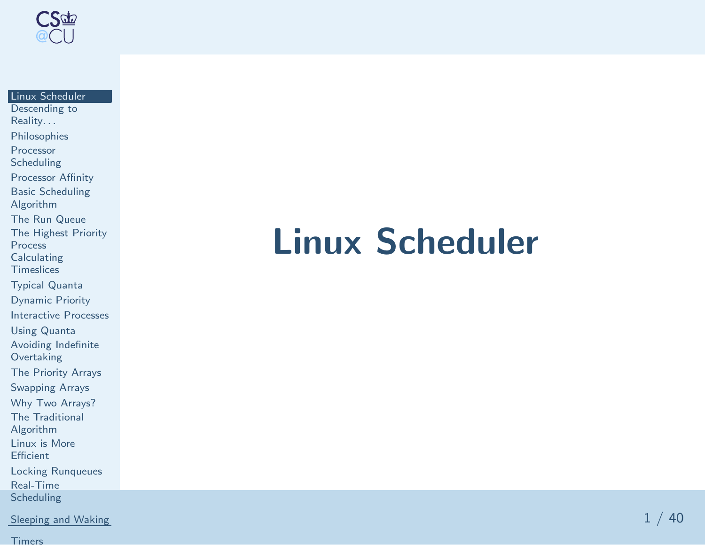<span id="page-0-0"></span>

#### Linux [Scheduler](#page-0-0)

[Descending](#page-1-0) toReality. . . [Philosophies](#page-2-0)Processor**[Scheduling](#page-3-0)**  [Processor](#page-4-0) Affinity Basic [Scheduling](#page-5-0)Algorithm The Run [Queue](#page-6-0) The [Highest](#page-7-0) Priority**Process**  [Calculating](#page-8-0) Timeslices [Typical](#page-9-0) Quanta [Dynamic](#page-10-0) Priority [Interactive](#page-11-0) ProcessesUsing [Quanta](#page-12-0) Avoiding Indefinite**[Overtaking](#page-13-0)**  The [Priority](#page-14-0) Arrays[Swapping](#page-15-0) ArraysWhy Two [Arrays?](#page-16-0)The Traditional [Algorithm](#page-17-0) Linux is More**[Efficient](#page-18-0)** Locking [Runqueues](#page-19-0)Real-Time [Scheduling](#page-20-0)[Sleeping](#page-21-0) and Waking

## Linux Scheduler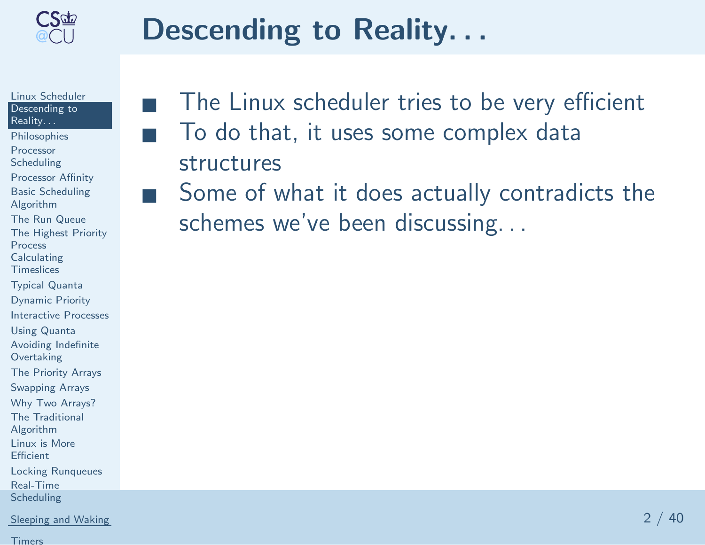<span id="page-1-0"></span>

■

■

### Descending to Reality...

Linux [Scheduler](#page-0-0)[Descending](#page-1-0) toReality. . . [Philosophies](#page-2-0)Processor**[Scheduling](#page-3-0)** [Processor](#page-4-0) Affinity Basic [Scheduling](#page-5-0)Algorithm The Run [Queue](#page-6-0) The [Highest](#page-7-0) Priority**Process**  [Calculating](#page-8-0) Timeslices[Typical](#page-9-0) Quanta[Dynamic](#page-10-0) Priority[Interactive](#page-11-0) ProcessesUsing [Quanta](#page-12-0) Avoiding Indefinite**[Overtaking](#page-13-0)**  The [Priority](#page-14-0) Arrays[Swapping](#page-15-0) ArraysWhy Two [Arrays?](#page-16-0)The Traditional [Algorithm](#page-17-0) Linux is More**[Efficient](#page-18-0)** Locking [Runqueues](#page-19-0)Real-Time [Scheduling](#page-20-0)[Sleeping](#page-21-0) and Waking

- The Linux scheduler tries to be very efficient To do that, it uses some complex data structures
- Some of what it does actually contradicts the schemes we've been discussing. . .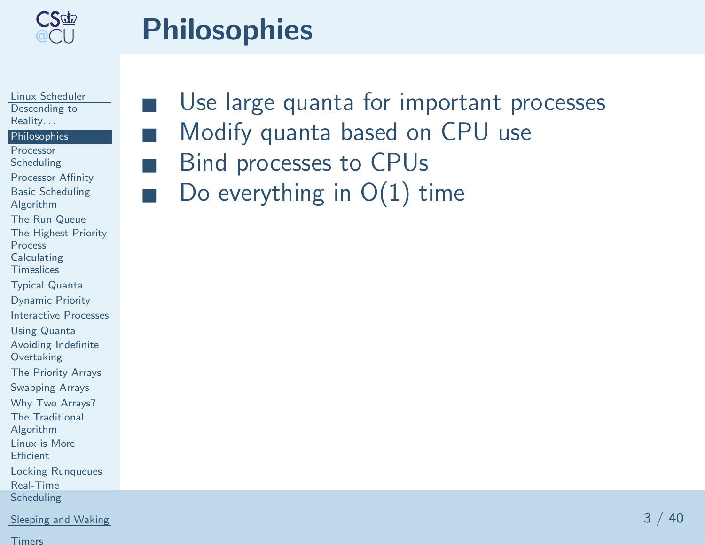<span id="page-2-0"></span>

### **Philosophies**

■

■

■

■

Linux [Scheduler](#page-0-0)[Descending](#page-1-0) toReality. . .

[Philosophies](#page-2-0)

Processor**[Scheduling](#page-3-0)** 

[Processor](#page-4-0) AffinityBasic [Scheduling](#page-5-0)

AlgorithmThe Run [Queue](#page-6-0)

The [Highest](#page-7-0) Priority

**Process** 

[Calculating](#page-8-0)

Timeslices

[Typical](#page-9-0) Quanta

[Dynamic](#page-10-0) Priority

[Interactive](#page-11-0) Processes

Using [Quanta](#page-12-0)

Avoiding Indefinite

**[Overtaking](#page-13-0)** 

The [Priority](#page-14-0) Arrays

[Swapping](#page-15-0) Arrays

Why Two [Arrays?](#page-16-0)

The Traditional

[Algorithm](#page-17-0)

Linux is More

**[Efficient](#page-18-0)** 

Locking [Runqueues](#page-19-0)Real-Time

[Scheduling](#page-20-0)

[Sleeping](#page-21-0) and Waking

[Timers](#page-28-0)

 Use large quanta for important processes Modify quanta based on CPU use Bind processes to CPUs Do everything in  $O(1)$  time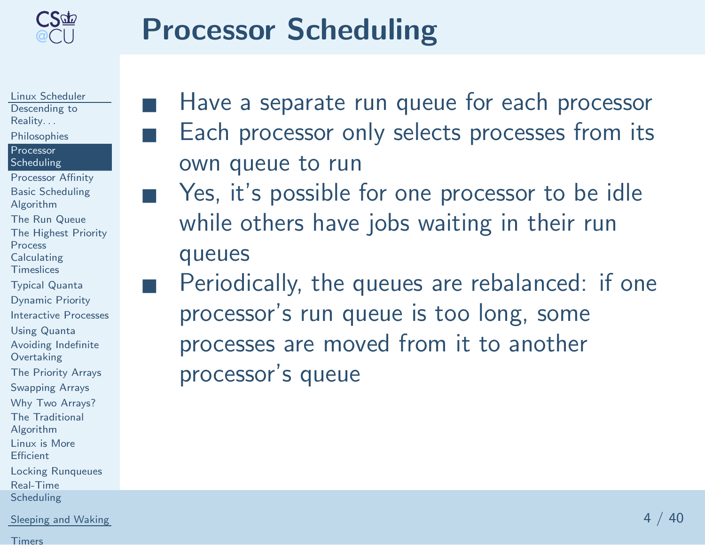<span id="page-3-0"></span>

■

■

### Processor Scheduling

Linux [Scheduler](#page-0-0)[Descending](#page-1-0) toReality. . . [Philosophies](#page-2-0)Processor [Scheduling](#page-3-0)[Processor](#page-4-0) Affinity Basic [Scheduling](#page-5-0)Algorithm The Run [Queue](#page-6-0) The [Highest](#page-7-0) PriorityProcess [Calculating](#page-8-0) Timeslices[Typical](#page-9-0) Quanta[Dynamic](#page-10-0) Priority[Interactive](#page-11-0) ProcessesUsing [Quanta](#page-12-0) Avoiding Indefinite**[Overtaking](#page-13-0)**  The [Priority](#page-14-0) Arrays[Swapping](#page-15-0) ArraysWhy Two [Arrays?](#page-16-0)The Traditional [Algorithm](#page-17-0) Linux is More**[Efficient](#page-18-0)** Locking [Runqueues](#page-19-0)Real-Time

 [Scheduling](#page-20-0)[Timers](#page-28-0)

- Have <sup>a</sup> separate run queue for each processor Each processor only selects processes from its own queue to run
- Yes, it's possible for one processor to be idle while others have jobs waiting in their run queues
	- Periodically, the queues are rebalanced: if one processor's run queue is too long, someprocesses are moved from it to anotherprocessor's queue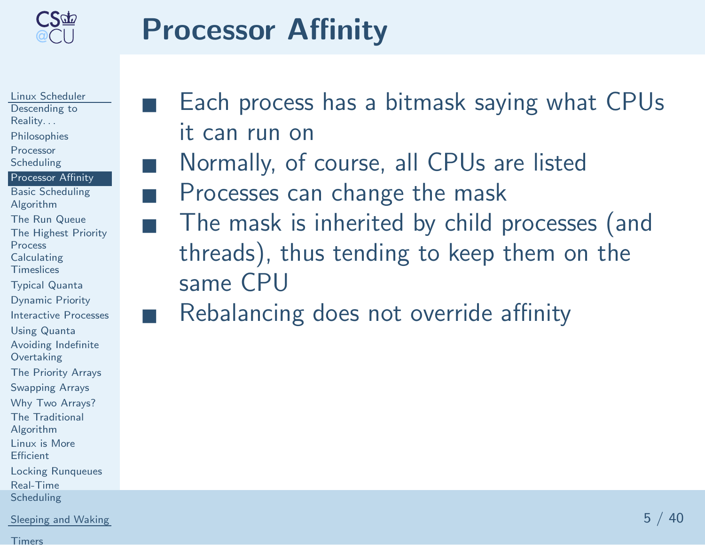<span id="page-4-0"></span>

### Processor Affinity

Linux [Scheduler](#page-0-0)[Descending](#page-1-0) toReality. . . [Philosophies](#page-2-0)Processor

■

■

■

■

**[Scheduling](#page-3-0)** 

[Processor](#page-4-0) Affinity

 Basic [Scheduling](#page-5-0)Algorithm

 The Run [Queue](#page-6-0) The [Highest](#page-7-0) Priority**Process** [Calculating](#page-8-0)

Timeslices

[Typical](#page-9-0) Quanta

[Dynamic](#page-10-0) Priority

[Interactive](#page-11-0) Processes

Using [Quanta](#page-12-0)

Avoiding Indefinite

**[Overtaking](#page-13-0)** 

The [Priority](#page-14-0) Arrays

[Swapping](#page-15-0) Arrays

Why Two [Arrays?](#page-16-0)The Traditional

[Algorithm](#page-17-0)

 Linux is More**[Efficient](#page-18-0)** 

Locking [Runqueues](#page-19-0)Real-Time[Scheduling](#page-20-0)

[Sleeping](#page-21-0) and Waking

[Timers](#page-28-0)

 Each process has <sup>a</sup> bitmask saying what CPUs it can run on

**Normally, of course, all CPUs are listed** 

Processes can change the mask

 The mask is inherited by child processes (and threads), thus tending to keep them on thesame CPU

**Rebalancing does not override affinity**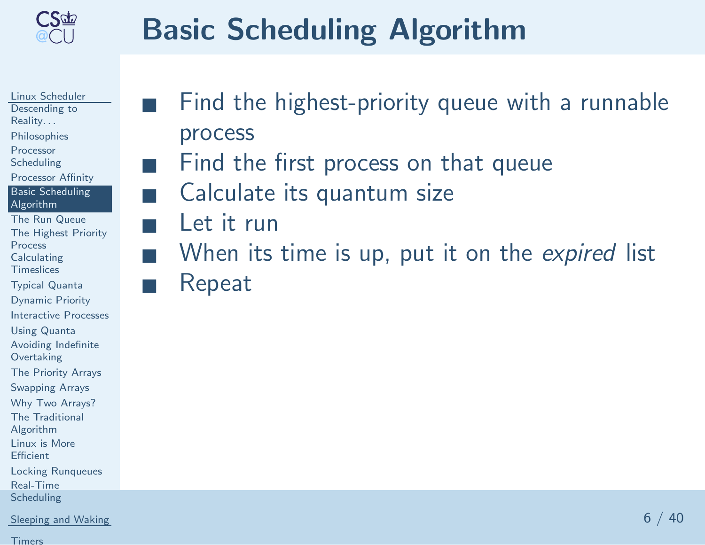<span id="page-5-0"></span>

## Basic Scheduling Algorithm

Linux [Scheduler](#page-0-0)[Descending](#page-1-0) toReality. . . [Philosophies](#page-2-0)Processor**[Scheduling](#page-3-0)** 

[Processor](#page-4-0) Affinity Basic [Scheduling](#page-5-0)Algorithm

 The Run [Queue](#page-6-0) The [Highest](#page-7-0) Priority**Process**  [Calculating](#page-8-0)Timeslices

[Typical](#page-9-0) Quanta

[Dynamic](#page-10-0) Priority

[Interactive](#page-11-0) Processes

Using [Quanta](#page-12-0)Avoiding Indefinite

**[Overtaking](#page-13-0)** 

The [Priority](#page-14-0) Arrays

[Swapping](#page-15-0) Arrays

Why Two [Arrays?](#page-16-0)

The Traditional

[Algorithm](#page-17-0)

 Linux is More**[Efficient](#page-18-0)** 

Locking [Runqueues](#page-19-0)

Real-Time[Scheduling](#page-20-0)

[Sleeping](#page-21-0) and Waking

[Timers](#page-28-0)

- ■ Find the highest-priority queue with <sup>a</sup> runnable process
- ■Find the first process on that queue
- ■ Calculate its quantum size
	- Let it run

When its time is up, put it on the expired list Repeat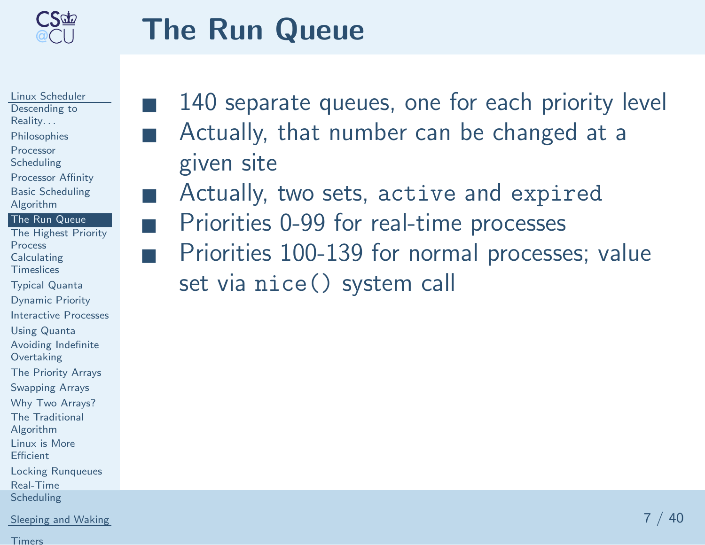<span id="page-6-0"></span>

### The Run Queue

Linux [Scheduler](#page-0-0)[Descending](#page-1-0) toReality. . . [Philosophies](#page-2-0)Processor**[Scheduling](#page-3-0)** [Processor](#page-4-0) Affinity Basic [Scheduling](#page-5-0)Algorithm The Run [Queue](#page-6-0) The [Highest](#page-7-0) Priority**Process**  [Calculating](#page-8-0) Timeslices[Typical](#page-9-0) Quanta[Dynamic](#page-10-0) Priority[Interactive](#page-11-0) ProcessesUsing [Quanta](#page-12-0) Avoiding Indefinite**[Overtaking](#page-13-0)**  The [Priority](#page-14-0) Arrays[Swapping](#page-15-0) ArraysWhy Two [Arrays?](#page-16-0)The Traditional [Algorithm](#page-17-0) Linux is More**[Efficient](#page-18-0)** Locking [Runqueues](#page-19-0)Real-Time

■

[Scheduling](#page-20-0)

[Sleeping](#page-21-0) and Waking

- <sup>140</sup> separate queues, one for each priority level Actually, that number can be changed at <sup>a</sup> <sup>g</sup>iven site
	- Actually, two sets, active and expired
- ■ Priorities 0-99 for real-time processes
	- Priorities 100-139 for normal processes; value set via nice() system call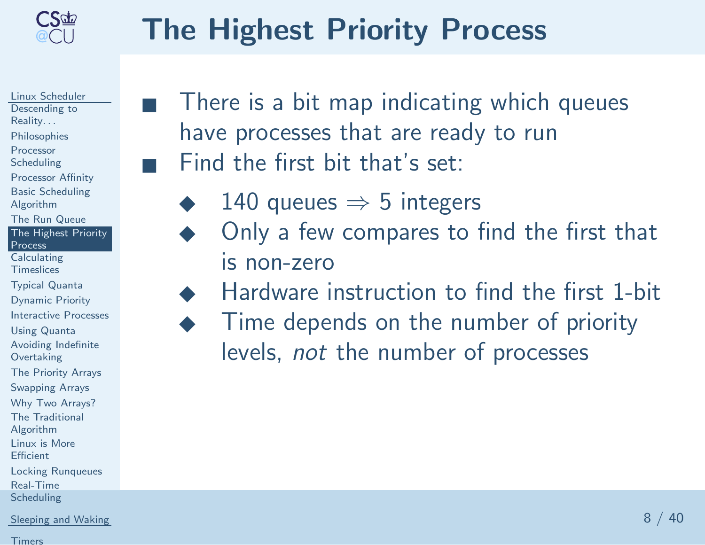<span id="page-7-0"></span>

■

■

## The Highest Priority Process

Linux [Scheduler](#page-0-0)[Descending](#page-1-0) toReality. . . [Philosophies](#page-2-0)Processor**[Scheduling](#page-3-0)** [Processor](#page-4-0) Affinity Basic [Scheduling](#page-5-0)Algorithm The Run [Queue](#page-6-0) The [Highest](#page-7-0) Priority**Process**  [Calculating](#page-8-0) Timeslices[Typical](#page-9-0) Quanta[Dynamic](#page-10-0) Priority[Interactive](#page-11-0) ProcessesUsing [Quanta](#page-12-0) Avoiding Indefinite**[Overtaking](#page-13-0)** The [Priority](#page-14-0) Arrays[Swapping](#page-15-0) ArraysWhy Two [Arrays?](#page-16-0)The Traditional [Algorithm](#page-17-0) Linux is More**[Efficient](#page-18-0)** Locking [Runqueues](#page-19-0)Real-Time[Scheduling](#page-20-0)

There is a bit map indicating which queues have processes that are ready to runFind the first bit that's set:

- ◆◆ 140 queues ⇒ 5 integers<br>◆ 0nly a few compares to
- ◆ Only <sup>a</sup> few compares to find the first that is non-zero
- ◆ Hardware instruction to find the first 1-bit ◆◆ Time depends on the number of priority levels, *not* the number of processes

[Sleeping](#page-21-0) and Waking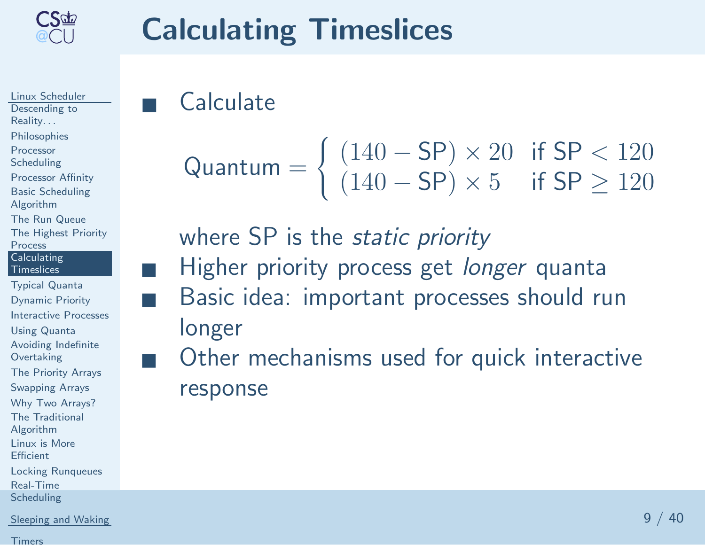<span id="page-8-0"></span>

## Calculating Timeslices

**Calculate** 

Linux [Scheduler](#page-0-0)[Descending](#page-1-0) toReality. . . [Philosophies](#page-2-0)Processor**[Scheduling](#page-3-0)** [Processor](#page-4-0) Affinity Basic [Scheduling](#page-5-0)Algorithm The Run [Queue](#page-6-0) The [Highest](#page-7-0) Priority**Process**  [Calculating](#page-8-0) Timeslices[Typical](#page-9-0) Quanta[Dynamic](#page-10-0) Priority[Interactive](#page-11-0) ProcessesUsing [Quanta](#page-12-0) Avoiding Indefinite**[Overtaking](#page-13-0)**  The [Priority](#page-14-0) Arrays[Swapping](#page-15-0) ArraysWhy Two [Arrays?](#page-16-0)The Traditional [Algorithm](#page-17-0) Linux is More**[Efficient](#page-18-0)** Locking [Runqueues](#page-19-0)Real-Time

■

■

Quantum= $\sqrt{ }$  $\left\{ \right.$  $\mathcal{L}$ (140  $-\frac{\textsf{SP}}{\textsf{SP}}$  $\times$  20 if SP  $<$  120<br> $\times$  F if CD  $\times$  120 (140 $(S = S) \times 5$  if  $SP \ge 120$ 

where SP is the *static priority* Higher priority process get longer quanta Basic idea: important processes should run longer

 Other mechanisms used for quick interactive response

[Scheduling](#page-20-0)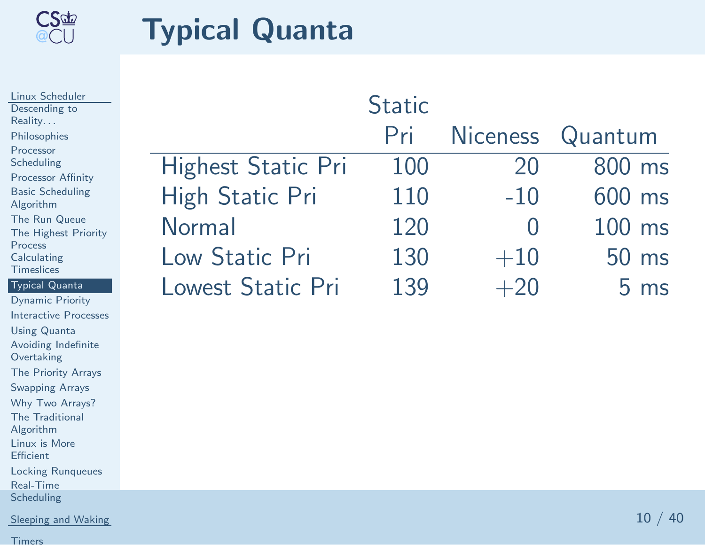<span id="page-9-0"></span>

### Typical Quanta

| Linux Scheduler<br>Descending to<br>Reality<br>Philosophies<br>Processor             |                           | <b>Static</b><br>Pri | <b>Niceness</b> | Quantum        |
|--------------------------------------------------------------------------------------|---------------------------|----------------------|-----------------|----------------|
| Scheduling<br><b>Processor Affinity</b>                                              | <b>Highest Static Pri</b> | 100                  | 20              | 800 ms         |
| <b>Basic Scheduling</b><br>Algorithm                                                 | <b>High Static Pri</b>    | 110                  | $-10$           | 600 ms         |
| The Run Queue<br>The Highest Priority                                                | <b>Normal</b>             | 120                  | $\bigcup$       | $100$ ms       |
| Process<br>Calculating<br><b>Timeslices</b>                                          | Low Static Pri            | 130                  | $+10$           | $50$ ms        |
| <b>Typical Quanta</b><br><b>Dynamic Priority</b>                                     | Lowest Static Pri         | 139                  | $+20$           | $5 \text{ ms}$ |
| Interactive Processes                                                                |                           |                      |                 |                |
| <b>Using Quanta</b><br>Avoiding Indefinite<br>Overtaking                             |                           |                      |                 |                |
| The Priority Arrays                                                                  |                           |                      |                 |                |
| <b>Swapping Arrays</b>                                                               |                           |                      |                 |                |
| Why Two Arrays?<br>The Traditional<br>Algorithm<br>Linux is More<br><b>Efficient</b> |                           |                      |                 |                |
| <b>Locking Runqueues</b><br>Real-Time                                                |                           |                      |                 |                |
| Scheduling                                                                           |                           |                      |                 |                |

**[Sleeping](#page-21-0) and Waking**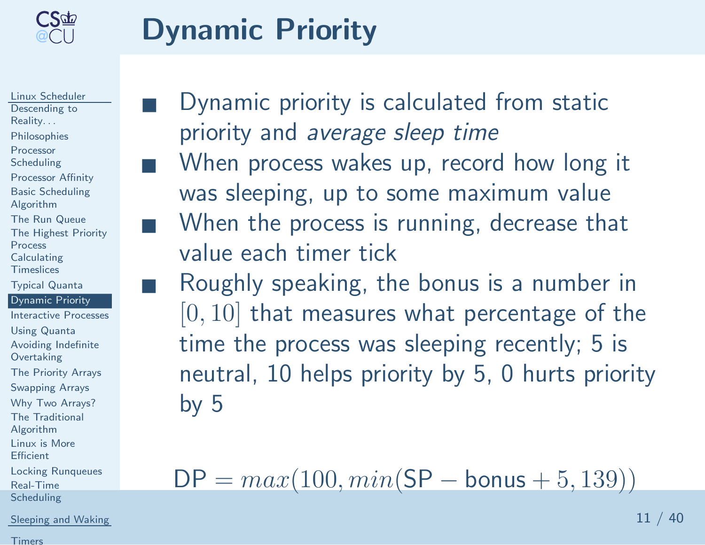<span id="page-10-0"></span>

## Dynamic Priority

Linux [Scheduler](#page-0-0)[Descending](#page-1-0) toReality. . . [Philosophies](#page-2-0)Processor**[Scheduling](#page-3-0)** [Processor](#page-4-0) Affinity Basic [Scheduling](#page-5-0)Algorithm The Run [Queue](#page-6-0) The [Highest](#page-7-0) PriorityProcess [Calculating](#page-8-0) Timeslices[Typical](#page-9-0) Quanta [Dynamic](#page-10-0) Priority[Interactive](#page-11-0) ProcessesUsing [Quanta](#page-12-0) Avoiding Indefinite**[Overtaking](#page-13-0)**  The [Priority](#page-14-0) Arrays[Swapping](#page-15-0) ArraysWhy Two [Arrays?](#page-16-0)The Traditional [Algorithm](#page-17-0) Linux is More**[Efficient](#page-18-0)** Locking [Runqueues](#page-19-0)■

Real-Time[Scheduling](#page-20-0)

[Sleeping](#page-21-0) and Waking

■ Dynamic priority is calculated from static priority and *average sleep time* When process wakes up, record how long it was sleeping, up to some maximum value**Number 19 Number 10 Number 10 Number 10 Number 10 Number 10 Number 10 Number 10 Number 10 Number 10 Number 10 Number 10 Number 10 Number 10 Number 10 Number 10 Number 10 Number 10 Number 10 Number 10 Number 10 Number 10 N** value each timer tick**Roughly speaking, the bonus is a number in**  $\left[0,10\right]$  that measures what percentage of the time the process was sleeping recently; <sup>5</sup> is

neutral, <sup>10</sup> helps priority by 5, <sup>0</sup> hurts priorityby  $5$ 

DP $P = max(100, min(SP - \text{bonus} + 5, 139))$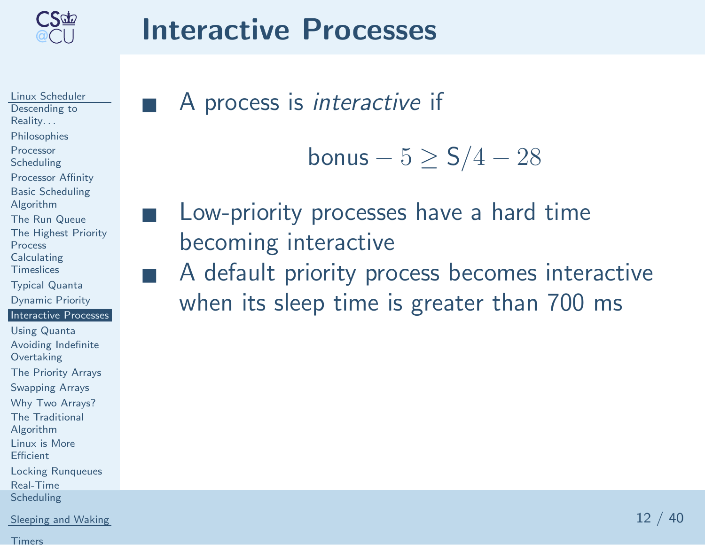<span id="page-11-0"></span>

### Interactive Processes

Linux [Scheduler](#page-0-0)[Descending](#page-1-0) toReality. . . [Philosophies](#page-2-0)Processor**[Scheduling](#page-3-0)** [Processor](#page-4-0) Affinity Basic [Scheduling](#page-5-0)Algorithm The Run [Queue](#page-6-0) The [Highest](#page-7-0) PriorityProcess [Calculating](#page-8-0) Timeslices[Typical](#page-9-0) Quanta[Dynamic](#page-10-0) Priority [Interactive](#page-11-0) ProcessesUsing [Quanta](#page-12-0) Avoiding Indefinite**[Overtaking](#page-13-0)** The [Priority](#page-14-0) Arrays[Swapping](#page-15-0) ArraysWhy Two [Arrays?](#page-16-0)The Traditional

■

[Algorithm](#page-17-0)

 Linux is More**[Efficient](#page-18-0)** 

Locking [Runqueues](#page-19-0)Real-Time[Scheduling](#page-20-0)

[Sleeping](#page-21-0) and Waking

[Timers](#page-28-0)

<sup>A</sup> process is interactive if

 $\sf{bonus}-5\geq {\sf S}/4 -28$ 

 Low-priority processes have <sup>a</sup> hard time becoming interactive■ A default priority process becomes interactive when its sleep time is greater than <sup>700</sup> ms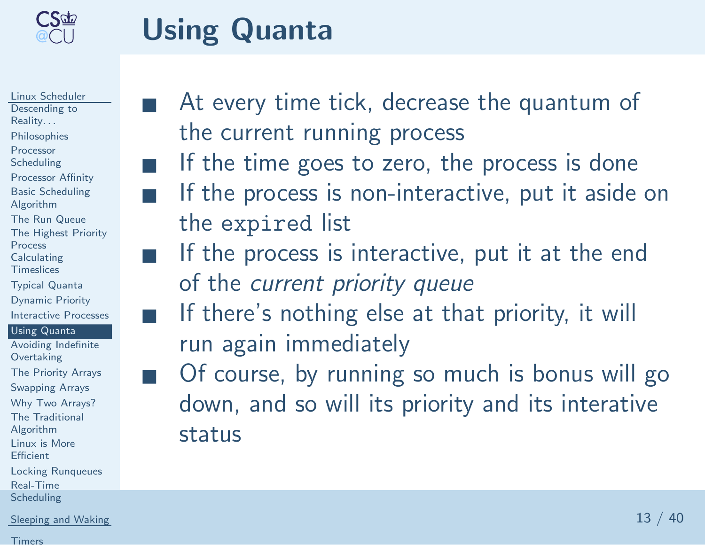<span id="page-12-0"></span>

#### Using Quanta

■

■

■

■



- At every time tick, decrease the quantum of the current running process
- If the time goes to zero, the process is done
- If the process is non-interactive, put it aside on the expired list
- If the process is interactive, put it at the end of the current priority queue
- ■ If there's nothing else at that priority, it will run again immediately
	- Of course, by running so much is bonus will go down, and so will its priority and its interativestatus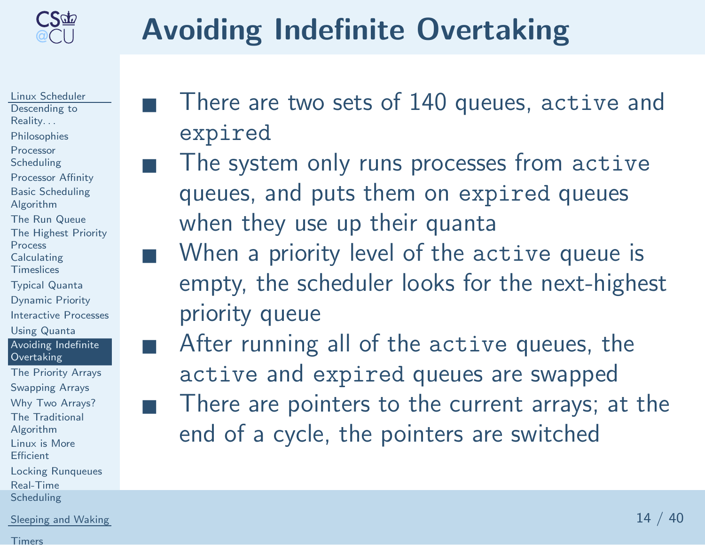<span id="page-13-0"></span>

## Avoiding Indefinite Overtaking

Linux [Scheduler](#page-0-0)[Descending](#page-1-0) toReality. . . [Philosophies](#page-2-0)Processor**[Scheduling](#page-3-0)** [Processor](#page-4-0) Affinity Basic [Scheduling](#page-5-0)Algorithm The Run [Queue](#page-6-0) The [Highest](#page-7-0) PriorityProcess [Calculating](#page-8-0) Timeslices[Typical](#page-9-0) Quanta [Dynamic](#page-10-0) Priority[Interactive](#page-11-0) ProcessesUsing [Quanta](#page-12-0) Avoiding Indefinite[Overtaking](#page-13-0) The [Priority](#page-14-0) Arrays[Swapping](#page-15-0) ArraysWhy Two [Arrays?](#page-16-0)The Traditional [Algorithm](#page-17-0) Linux is More**[Efficient](#page-18-0)** Locking [Runqueues](#page-19-0)Real-Time[Scheduling](#page-20-0)

■

- ■ There are two sets of <sup>140</sup> queues, active and expired
- The system only runs processes from active ■queues, and puts them on expired queues when they use up their quanta
- When a priority level of the active queue is empty, the scheduler looks for the next-highestpriority queue
	- After running all of the active queues, the active and expired queues are swapped
	- There are pointers to the current arrays; at the end of <sup>a</sup> cycle, the pointers are switched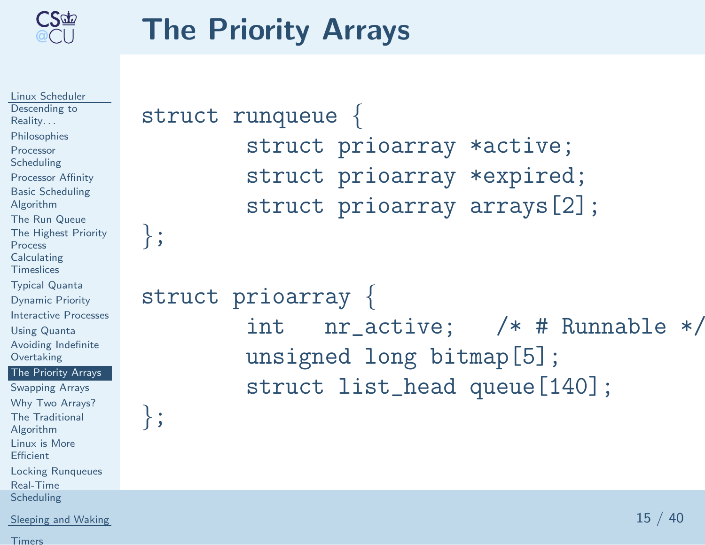<span id="page-14-0"></span>

## The Priority Arrays

Linux [Scheduler](#page-0-0)[Descending](#page-1-0) toReality. . . [Philosophies](#page-2-0)Processor**[Scheduling](#page-3-0)** [Processor](#page-4-0) Affinity Basic [Scheduling](#page-5-0)Algorithm The Run [Queue](#page-6-0) The [Highest](#page-7-0) PriorityProcess [Calculating](#page-8-0) Timeslices[Typical](#page-9-0) Quanta[Dynamic](#page-10-0) Priority[Interactive](#page-11-0) ProcessesUsing [Quanta](#page-12-0) Avoiding Indefinite**[Overtaking](#page-13-0)**  The [Priority](#page-14-0) Arrays[Swapping](#page-15-0) ArraysWhy Two [Arrays?](#page-16-0)The Traditional [Algorithm](#page-17-0) Linux is More**[Efficient](#page-18-0)** Locking [Runqueues](#page-19-0)Real-Time [Scheduling](#page-20-0)[Sleeping](#page-21-0) and Waking};};

```
Timers
```
struct runqueue { struct prioarray \*active;struct prioarray \*expired;struct prioarray arrays[2];

```
struct prioarray {
       int nr_active; /* # Runnable */unsigned long bitmap[5];
struct list_head queue[140];
```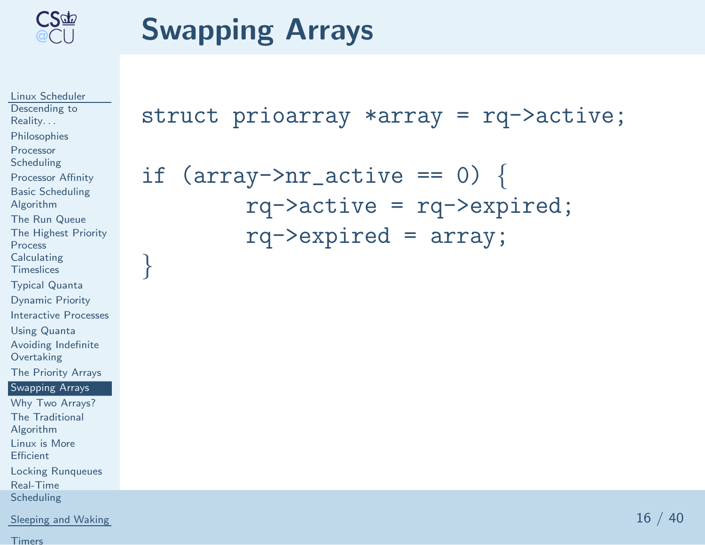<span id="page-15-0"></span>

## Swapping Arrays

Linux [Scheduler](#page-0-0)[Descending](#page-1-0) toReality. . . [Philosophies](#page-2-0)Processor**[Scheduling](#page-3-0)** [Processor](#page-4-0) Affinity Basic [Scheduling](#page-5-0)Algorithm The Run [Queue](#page-6-0) The [Highest](#page-7-0) Priority**Process**  [Calculating](#page-8-0) Timeslices[Typical](#page-9-0) Quanta[Dynamic](#page-10-0) Priority[Interactive](#page-11-0) ProcessesUsing [Quanta](#page-12-0) Avoiding Indefinite**[Overtaking](#page-13-0)**  The [Priority](#page-14-0) Arrays[Swapping](#page-15-0) ArraysWhy Two [Arrays?](#page-16-0)The Traditional [Algorithm](#page-17-0) Linux is More**[Efficient](#page-18-0)** Locking [Runqueues](#page-19-0)Real-Time [Scheduling](#page-20-0)}<br>}

struct prioarray \*array <sup>=</sup> rq->active;if (array->nr\_active ==  $0)$  { rq->active <sup>=</sup> rq->expired;rq->expired <sup>=</sup> array;

[Timers](#page-28-0)

[Sleeping](#page-21-0) and Waking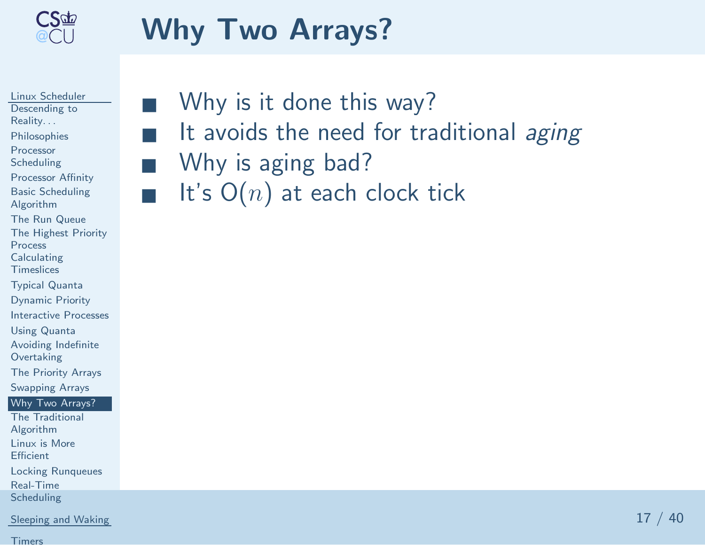<span id="page-16-0"></span>

■

■

■

## Why Two Arrays?

Linux [Scheduler](#page-0-0)[Descending](#page-1-0) toReality. . . [Philosophies](#page-2-0)Processor**[Scheduling](#page-3-0)** [Processor](#page-4-0) Affinity Basic [Scheduling](#page-5-0)Algorithm The Run [Queue](#page-6-0) The [Highest](#page-7-0) Priority**Process**  [Calculating](#page-8-0)Timeslices

[Typical](#page-9-0) Quanta

[Dynamic](#page-10-0) Priority

[Interactive](#page-11-0) Processes

Using [Quanta](#page-12-0)

Avoiding Indefinite

**[Overtaking](#page-13-0)** 

The [Priority](#page-14-0) Arrays

[Swapping](#page-15-0) Arrays

Why Two [Arrays?](#page-16-0)

The Traditional [Algorithm](#page-17-0)

 Linux is More**[Efficient](#page-18-0)** 

Locking [Runqueues](#page-19-0)

Real-Time

[Scheduling](#page-20-0)

[Sleeping](#page-21-0) and Waking

[Timers](#page-28-0)

 Why is it done this way? It avoids the need for traditional aging Why is aging bad? It's  $O(n)$  at each clock tick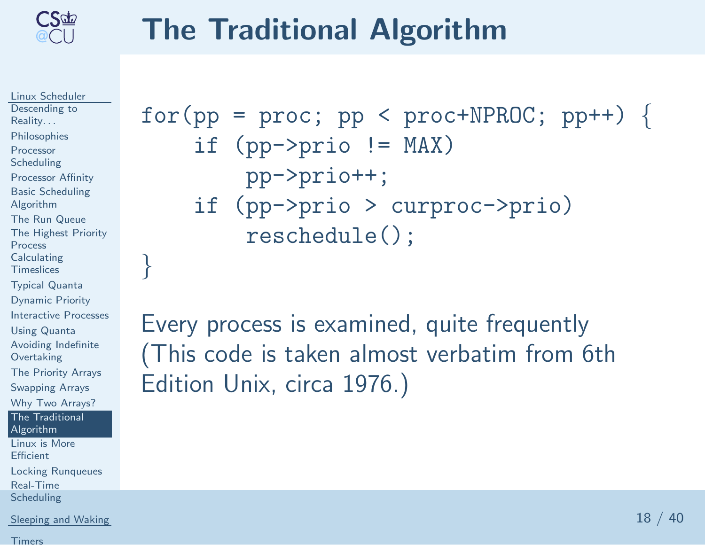<span id="page-17-0"></span>

### The Traditional Algorithm

Linux [Scheduler](#page-0-0)[Descending](#page-1-0) toReality. . . [Philosophies](#page-2-0)Processor**[Scheduling](#page-3-0)** [Processor](#page-4-0) Affinity Basic [Scheduling](#page-5-0)Algorithm The Run [Queue](#page-6-0) The [Highest](#page-7-0) Priority**Process**  [Calculating](#page-8-0) Timeslices[Typical](#page-9-0) Quanta[Dynamic](#page-10-0) Priority[Interactive](#page-11-0) ProcessesUsing [Quanta](#page-12-0) Avoiding Indefinite**[Overtaking](#page-13-0)**  The [Priority](#page-14-0) Arrays[Swapping](#page-15-0) ArraysWhy Two [Arrays?](#page-16-0)The Traditional [Algorithm](#page-17-0)Linux is More

}<br>}

**[Efficient](#page-18-0)** 

Locking [Runqueues](#page-19-0)Real-Time[Scheduling](#page-20-0)

[Sleeping](#page-21-0) and Waking

[Timers](#page-28-0)

| $for (pp = proc; pp < proper>proc+NPROC; pp++)$ { |  |
|---------------------------------------------------|--|
| if $(pp->prio != MAX)$                            |  |
| pp->prio++;                                       |  |
| if $(pp->prio > curyroc->prio)$                   |  |
| reschedule();                                     |  |

Every process is examined, quite frequently(This code is taken almost verbatim from 6thEdition Unix, circa 1976.)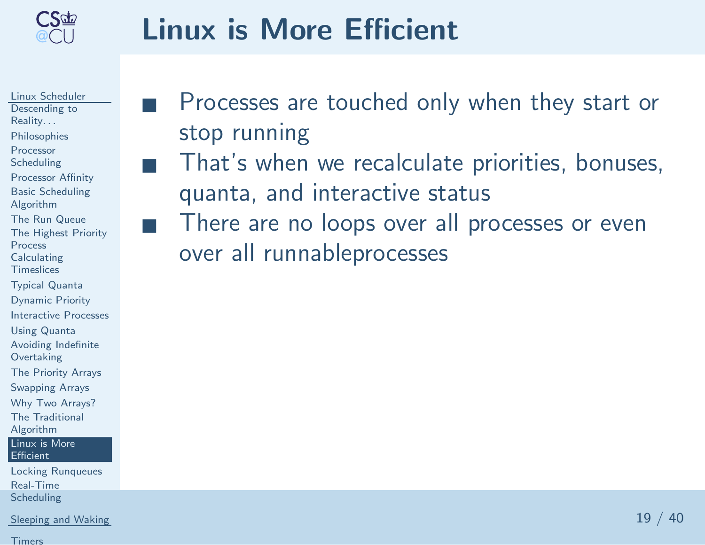<span id="page-18-0"></span>

■

■

## Linux is More Efficient

Linux [Scheduler](#page-0-0)[Descending](#page-1-0) toReality. . . [Philosophies](#page-2-0)Processor**[Scheduling](#page-3-0)** [Processor](#page-4-0) Affinity Basic [Scheduling](#page-5-0)Algorithm The Run [Queue](#page-6-0) The [Highest](#page-7-0) PriorityProcess [Calculating](#page-8-0) Timeslices[Typical](#page-9-0) Quanta[Dynamic](#page-10-0) Priority[Interactive](#page-11-0) ProcessesUsing [Quanta](#page-12-0) Avoiding Indefinite**[Overtaking](#page-13-0)**  The [Priority](#page-14-0) Arrays[Swapping](#page-15-0) ArraysWhy Two [Arrays?](#page-16-0)The Traditional [Algorithm](#page-17-0) Linux is More**[Efficient](#page-18-0)** Locking [Runqueues](#page-19-0)

Real-Time[Scheduling](#page-20-0)

[Sleeping](#page-21-0) and Waking

- Processes are touched only when they start or stop running
- $\blacksquare$  That's when we recalculate priorities, bonuses, quanta, and interactive status
	- There are no loops over all processes or even over all runnableprocesses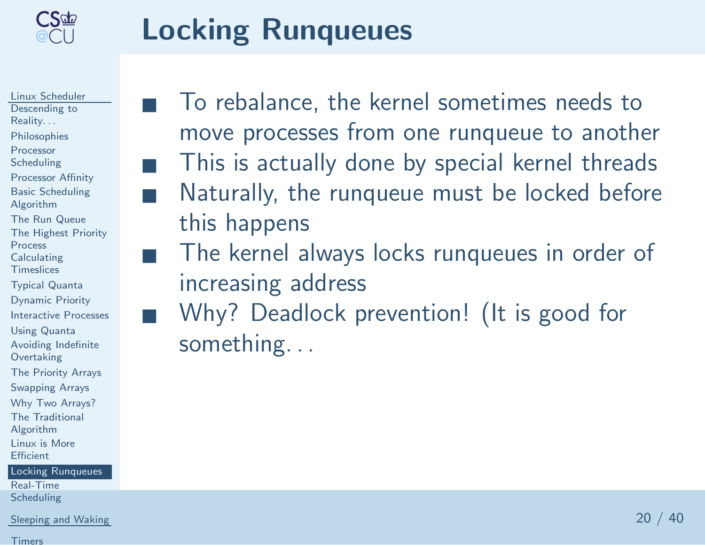<span id="page-19-0"></span>

## Locking Runqueues

Linux [Scheduler](#page-0-0)[Descending](#page-1-0) toReality. . . [Philosophies](#page-2-0)Processor**[Scheduling](#page-3-0)** [Processor](#page-4-0) Affinity Basic [Scheduling](#page-5-0)Algorithm The Run [Queue](#page-6-0) The [Highest](#page-7-0) PriorityProcess [Calculating](#page-8-0) Timeslices[Typical](#page-9-0) Quanta[Dynamic](#page-10-0) Priority[Interactive](#page-11-0) ProcessesUsing [Quanta](#page-12-0) Avoiding Indefinite**[Overtaking](#page-13-0)**  The [Priority](#page-14-0) Arrays[Swapping](#page-15-0) ArraysWhy Two [Arrays?](#page-16-0)The Traditional [Algorithm](#page-17-0) Linux is More**[Efficient](#page-18-0)** Locking [Runqueues](#page-19-0)

■

■

Real-Time[Scheduling](#page-20-0)

[Sleeping](#page-21-0) and Waking

- To rebalance, the kernel sometimes needs to move processes from one runqueue to another This is actually done by special kernel threads Naturally, the runqueue must be locked before this happens
- The kernel always locks runqueues in order of increasing address
- Why? Deadlock prevention! (It is good for something. . .

<sup>20</sup> / <sup>40</sup>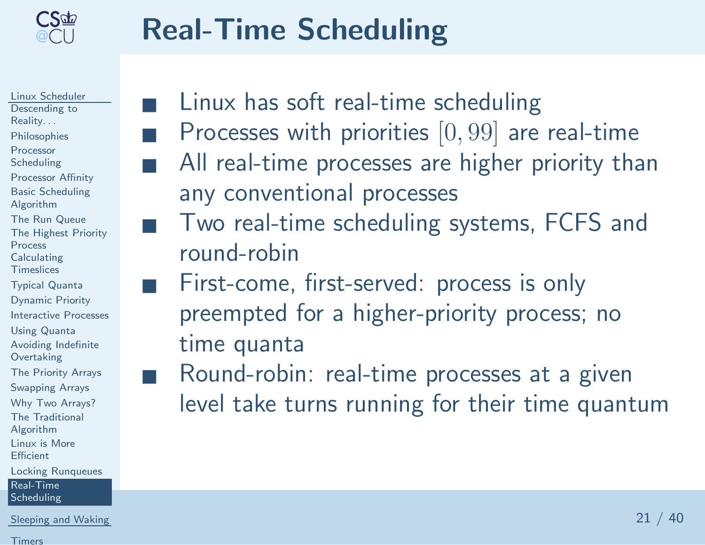<span id="page-20-0"></span>

■

■

■

■

## Real-Time Scheduling

Linux [Scheduler](#page-0-0)[Descending](#page-1-0) toReality. . . [Philosophies](#page-2-0)Processor**[Scheduling](#page-3-0)** [Processor](#page-4-0) Affinity Basic [Scheduling](#page-5-0)Algorithm The Run [Queue](#page-6-0) The [Highest](#page-7-0) PriorityProcess [Calculating](#page-8-0) Timeslices[Typical](#page-9-0) Quanta[Dynamic](#page-10-0) Priority[Interactive](#page-11-0) ProcessesUsing [Quanta](#page-12-0) Avoiding Indefinite**[Overtaking](#page-13-0)**  The [Priority](#page-14-0) Arrays[Swapping](#page-15-0) ArraysWhy Two [Arrays?](#page-16-0)The Traditional [Algorithm](#page-17-0) Linux is More**[Efficient](#page-18-0)** Locking [Runqueues](#page-19-0)Real-Time

[Scheduling](#page-20-0)

[Sleeping](#page-21-0) and Waking

 Linux has soft real-time scheduling Processes with priorities  $[0, 99]$  are real-time All real-time processes are higher priority than any conventional processes

- Two real-time scheduling systems, FCFS and round-robin
- First-come, first-served: process is only preempted for <sup>a</sup> higher-priority process; notime quanta
- **Round-robin: real-time processes at a given** level take turns running for their time quantum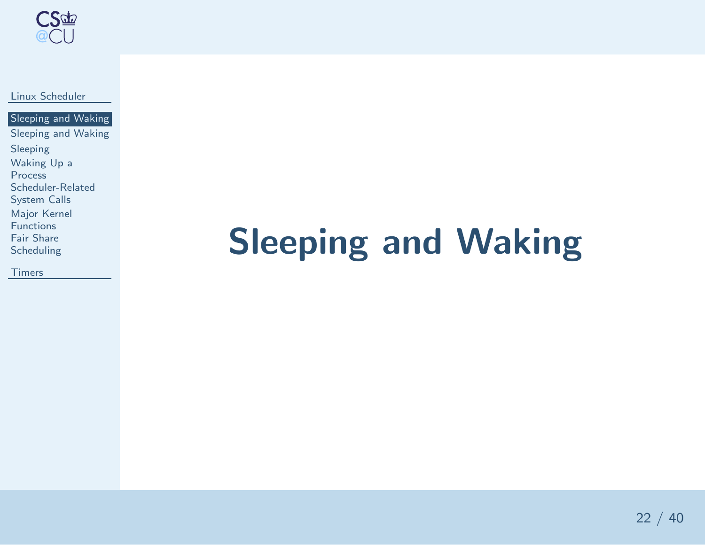<span id="page-21-0"></span>

Linux [Scheduler](#page-0-0)

[Sleeping](#page-21-0) and Waking [Sleeping](#page-22-0) and Waking[Sleeping](#page-23-0) [Waking](#page-24-0) Up <sup>a</sup>Process [Scheduler-Related](#page-25-0)System Calls Major Kernel **[Functions](#page-26-0)**  Fair Share[Scheduling](#page-27-0)

**[Timers](#page-28-0)** 

# Sleeping and Waking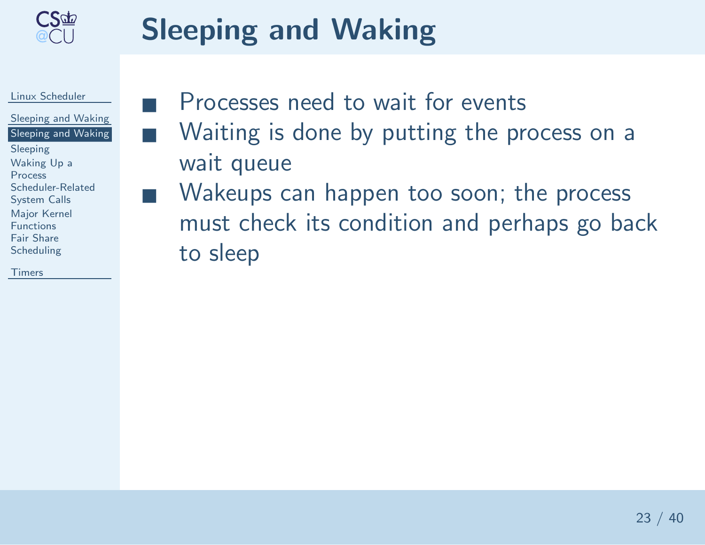<span id="page-22-0"></span>

## Sleeping and Waking

#### Linux [Scheduler](#page-0-0)

[Sleeping](#page-21-0) and Waking[Sleeping](#page-22-0) and Waking

■

■

■

[Sleeping](#page-23-0) [Waking](#page-24-0) Up <sup>a</sup>Process [Scheduler-Related](#page-25-0)System CallsMajor Kernel **[Functions](#page-26-0)**  Fair Share[Scheduling](#page-27-0)

[Timers](#page-28-0)

 Processes need to wait for events Waiting is done by putting the process on <sup>a</sup> wait queueWakeups can happen too soon; the process

must check its condition and perhaps go backto sleep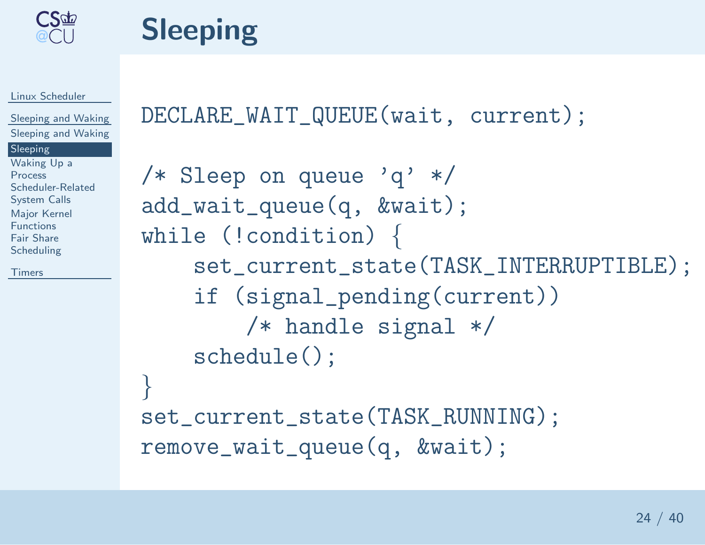<span id="page-23-0"></span>

## Sleeping

Linux [Scheduler](#page-0-0)

[Sleeping](#page-21-0) and Waking[Sleeping](#page-22-0) and Waking

#### [Sleeping](#page-23-0)

 [Waking](#page-24-0) Up <sup>a</sup>Process [Scheduler-Related](#page-25-0)System CallsMajor Kernel **[Functions](#page-26-0)**  Fair Share[Scheduling](#page-27-0)

[Timers](#page-28-0)

DECLARE\_WAIT\_QUEUE(wait, current);

```
/* Sleep on queue 'q' */
add_wait_queue(q, &wait);while (!condition) {
    set_current_state(TASK_INTERRUPTIBLE);if (signal_pending(current))/* handle signal */schedule();}<br>}

set_current_state(TASK_RUNNING);remove_wait_queue(q, &wait);
```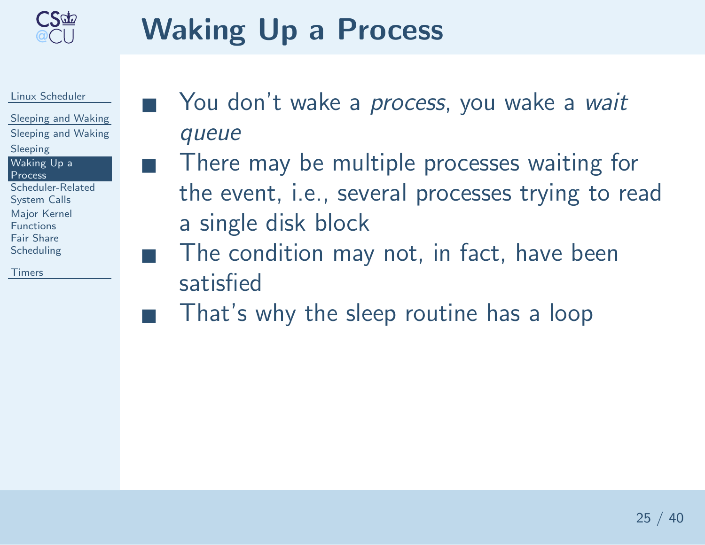<span id="page-24-0"></span>

## Waking Up <sup>a</sup> Process

#### Linux [Scheduler](#page-0-0)

[Sleeping](#page-21-0) and Waking [Sleeping](#page-22-0) and Waking[Sleeping](#page-23-0) [Waking](#page-24-0) Up <sup>a</sup>Process [Scheduler-Related](#page-25-0)System CallsMajor Kernel **[Functions](#page-26-0)**  Fair Share[Scheduling](#page-27-0)

■

- ■You don't wake a process, you wake a wait queue
	- There may be multiple processes waiting for the event, i.e., several processes trying to read<sup>a</sup> single disk block
- $\blacksquare$  The condition may not, in fact, have been satisfied
- $\blacksquare$  That's why the sleep routine has a loop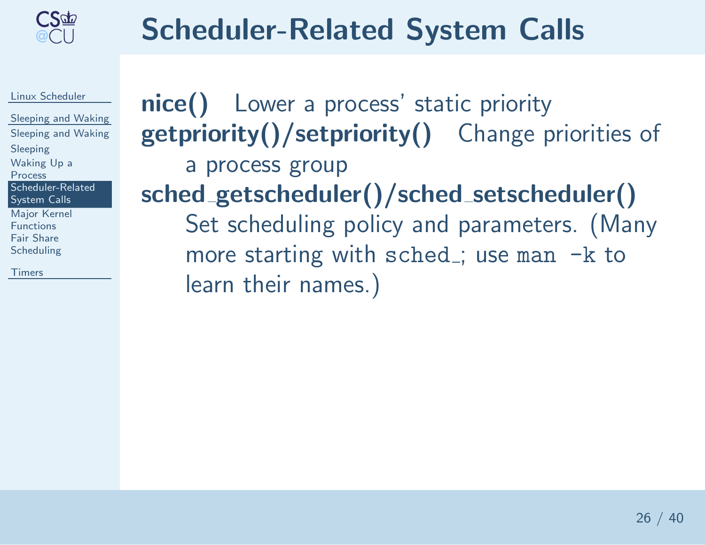<span id="page-25-0"></span>

### Scheduler-Related System Calls

Linux [Scheduler](#page-0-0)

[Sleeping](#page-21-0) and Waking [Sleeping](#page-22-0) and Waking[Sleeping](#page-23-0) [Waking](#page-24-0) Up <sup>a</sup>Process [Scheduler-Related](#page-25-0)System Calls

Major Kernel **[Functions](#page-26-0)**  Fair Share[Scheduling](#page-27-0)

[Timers](#page-28-0)

nice() Lower a process' static priority getpriority()/setpriority() Change priorities of <sup>a</sup> process group sched getscheduler()/sched setscheduler() Set scheduling policy and parameters. (Manymore starting with sched\_; use man -k to learn their names.)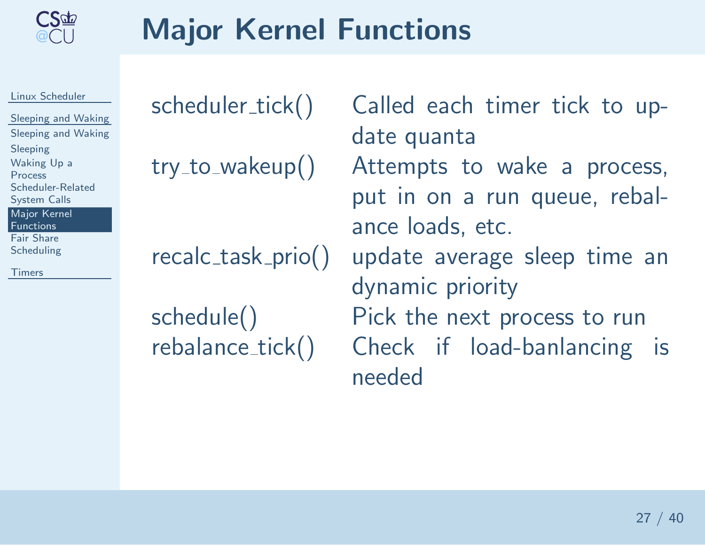<span id="page-26-0"></span>

## Major Kernel Functions

Linux [Scheduler](#page-0-0)

[Sleeping](#page-21-0) and Waking [Sleeping](#page-22-0) and Waking[Sleeping](#page-23-0) [Waking](#page-24-0) Up <sup>a</sup>**Process**  [Scheduler-Related](#page-25-0)System CallsMajor Kernel [Functions](#page-26-0)

 Fair Share[Scheduling](#page-27-0)

[Timers](#page-28-0)

scheduler\_tick() try\_to

recalc\_task

rebalance\_tick()

Called each timer tick to update quantaAttempts to wake a process, put in on <sup>a</sup> run queue, rebalance loads, etc. update average sleep time an dynamic priority schedule() Pick the next process to rune\_tick() Check if load-banlancing is needed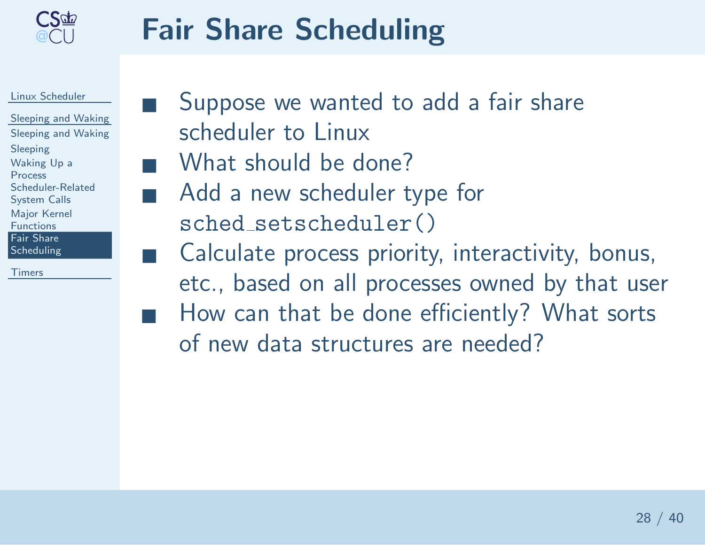<span id="page-27-0"></span>

## Fair Share Scheduling

#### Linux [Scheduler](#page-0-0)

[Sleeping](#page-21-0) and Waking [Sleeping](#page-22-0) and Waking[Sleeping](#page-23-0) [Waking](#page-24-0) Up <sup>a</sup>Process [Scheduler-Related](#page-25-0)System CallsMajor Kernel **[Functions](#page-26-0)**  Fair Share [Scheduling](#page-27-0)[Timers](#page-28-0)

■ Suppose we wanted to add <sup>a</sup> fair share scheduler to Linux

- What should be done?
- ■ Add <sup>a</sup> new scheduler type for  $\verb|sched_setscheduler()|$ 
	- Calculate process priority, interactivity, bonus, etc., based on all processes owned by that user How can that be done efficiently? What sorts of new data structures are needed?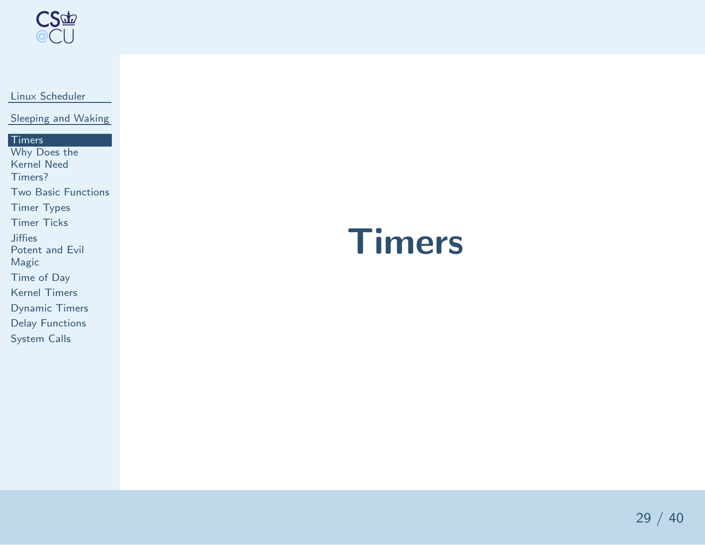<span id="page-28-0"></span>

#### Linux [Scheduler](#page-0-0)

[Sleeping](#page-21-0) and Waking

#### [Timers](#page-28-0)

 Why Does theKernel Need[Timers?](#page-29-0) Two Basic [Functions](#page-30-0)Timer [Types](#page-31-0)[Timer](#page-32-0) Ticks**[Jiffies](#page-33-0)**  Potent and Evil [Magic](#page-34-0) [Time](#page-35-0) of Day Kernel [Timers](#page-36-0)[Dynamic](#page-37-0) TimersDelay [Functions](#page-38-0)[System](#page-39-0) Calls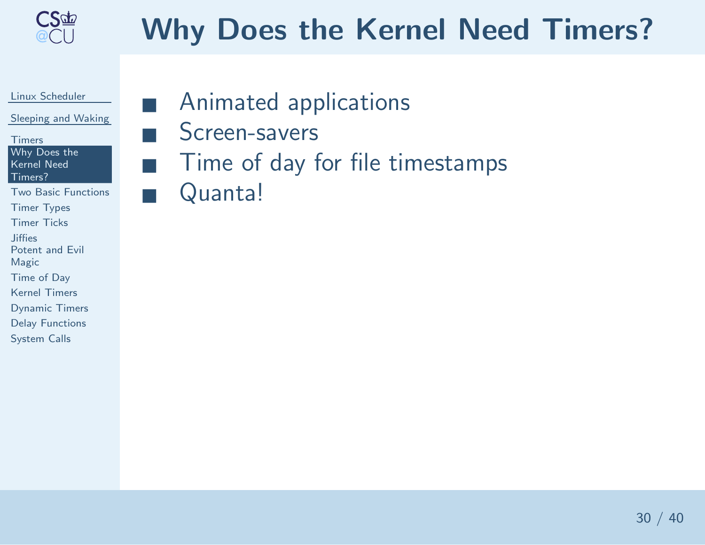<span id="page-29-0"></span>

## Why Does the Kernel Need Timers?

Linux [Scheduler](#page-0-0)

[Sleeping](#page-21-0) and Waking

**[Timers](#page-28-0)**  Why Does theKernel Need[Timers?](#page-29-0)

 Two Basic [Functions](#page-30-0)Timer [Types](#page-31-0)[Timer](#page-32-0) Ticks**[Jiffies](#page-33-0)**  Potent and Evil [Magic](#page-34-0) [Time](#page-35-0) of Day Kernel [Timers](#page-36-0)[Dynamic](#page-37-0) TimersDelay [Functions](#page-38-0)[System](#page-39-0) Calls

Animated applications

Screen-savers

Time of day for file timestamps

Quanta!

■

■

■

■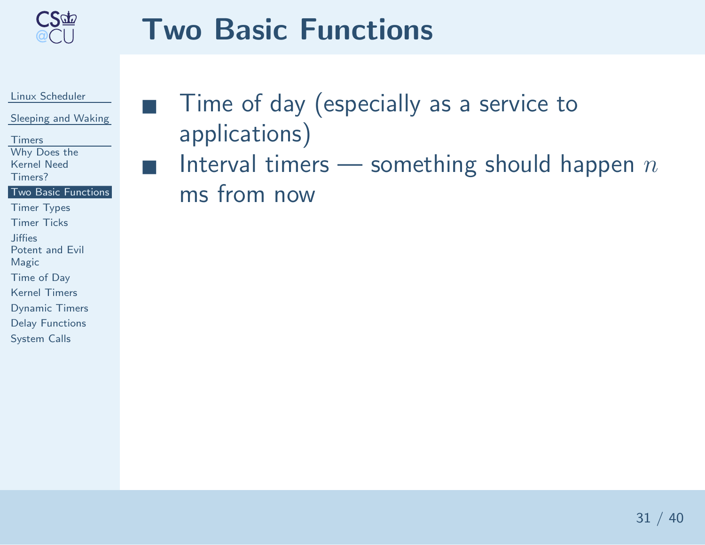<span id="page-30-0"></span>

### Two Basic Functions

#### Linux [Scheduler](#page-0-0)

[Sleeping](#page-21-0) and Waking

■

■

**[Timers](#page-28-0)** 

 Why Does theKernel Need[Timers?](#page-29-0)

#### Two Basic [Functions](#page-30-0)

Timer [Types](#page-31-0)[Timer](#page-32-0) Ticks**[Jiffies](#page-33-0)**  Potent and Evil [Magic](#page-34-0) [Time](#page-35-0) of DayKernel [Timers](#page-36-0)[Dynamic](#page-37-0) TimersDelay [Functions](#page-38-0)[System](#page-39-0) Calls

 Time of day (especially as <sup>a</sup> service to applications)

 $\blacksquare$  Interval timers — something should happen  $n$ ms from now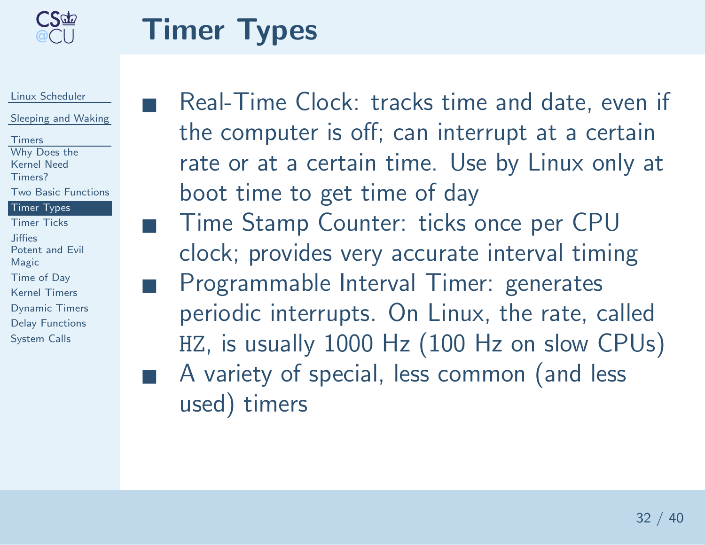<span id="page-31-0"></span>

### Timer Types

Linux [Scheduler](#page-0-0)

[Sleeping](#page-21-0) and Waking

[Timers](#page-28-0)

 Why Does theKernel Need

[Timers?](#page-29-0)

Two Basic [Functions](#page-30-0)

#### Timer [Types](#page-31-0)

[Timer](#page-32-0) Ticks**[Jiffies](#page-33-0)**  Potent and Evil [Magic](#page-34-0) [Time](#page-35-0) of DayKernel [Timers](#page-36-0)[Dynamic](#page-37-0) TimersDelay [Functions](#page-38-0)[System](#page-39-0) Calls

■ Real-Time Clock: tracks time and date, even if the computer is off; can interrupt at <sup>a</sup> certain rate or at <sup>a</sup> certain time. Use by Linux only atboot time to get time of day■ Time Stamp Counter: ticks once per CPU

 clock; provides very accurate interval timing Programmable Interval Timer: generates periodic interrupts. On Linux, the rate, called HZ, is usually <sup>1000</sup> Hz (100 Hz on slow CPUs)■ <sup>A</sup> variety of special, less common (and less used) timers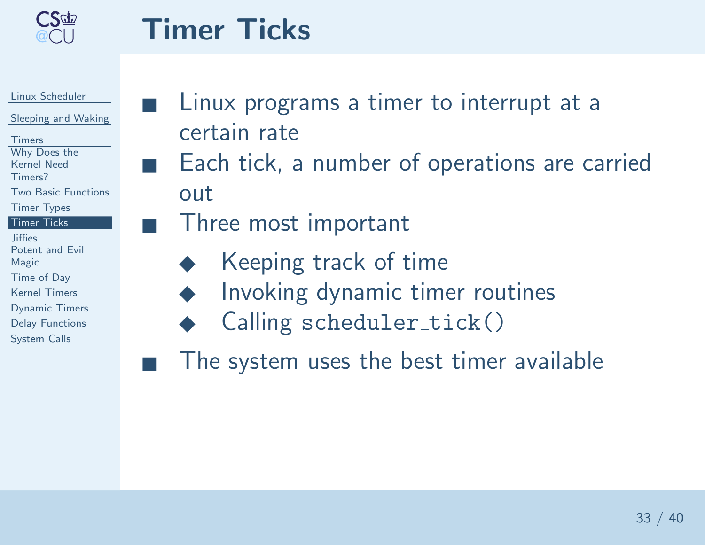<span id="page-32-0"></span>

#### Timer Ticks

#### Linux [Scheduler](#page-0-0)

[Sleeping](#page-21-0) and Waking

■

■

[Timers](#page-28-0)

- Why Does theKernel Need
- [Timers?](#page-29-0)

Two Basic [Functions](#page-30-0)

Timer [Types](#page-31-0)

- [Timer](#page-32-0) Ticks
- **[Jiffies](#page-33-0)**  Potent and Evil [Magic](#page-34-0)[Time](#page-35-0) of DayKernel [Timers](#page-36-0)[Dynamic](#page-37-0) TimersDelay [Functions](#page-38-0)

[System](#page-39-0) Calls

- Linux programs <sup>a</sup> timer to interrupt at <sup>a</sup> certain rate
- Each tick, <sup>a</sup> number of operations are carried out
- Three most important
	- ◆Keeping track of time
	- ◆Invoking dynamic timer routines
	- ◆Calling scheduler\_tick()
- The system uses the best timer available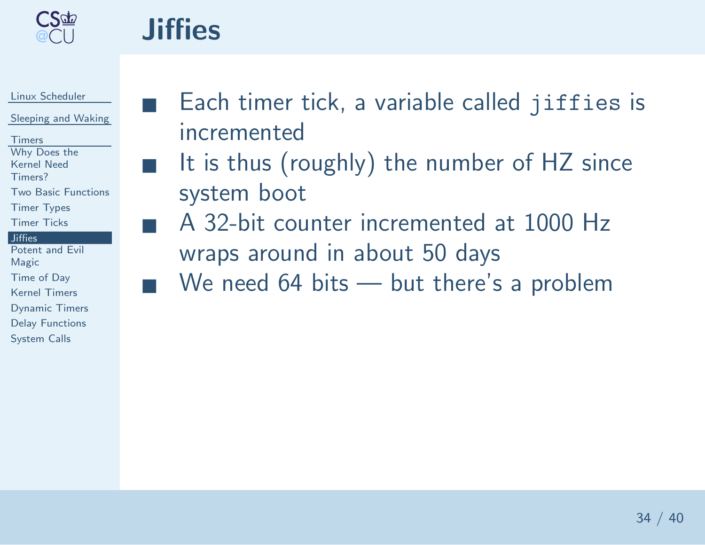<span id="page-33-0"></span>

## **Jiffies**

■

#### Linux [Scheduler](#page-0-0)

[Sleeping](#page-21-0) and Waking

[Timers](#page-28-0)

 Why Does theKernel Need

[Timers?](#page-29-0)

Two Basic [Functions](#page-30-0)

Timer [Types](#page-31-0)

[Timer](#page-32-0) Ticks

#### **[Jiffies](#page-33-0)**

 Potent and Evil [Magic](#page-34-0) [Time](#page-35-0) of DayKernel [Timers](#page-36-0)[Dynamic](#page-37-0) TimersDelay [Functions](#page-38-0)[System](#page-39-0) Calls

- ■ Each timer tick, <sup>a</sup> variable called jiffies is incremented
- $\blacksquare$  It is thus (roughly) the number of HZ since system boot
	- <sup>A</sup> 32-bit counter incremented at <sup>1000</sup> Hz wraps around in about <sup>50</sup> days
- $\blacksquare$  We need 64 bits but there's a problem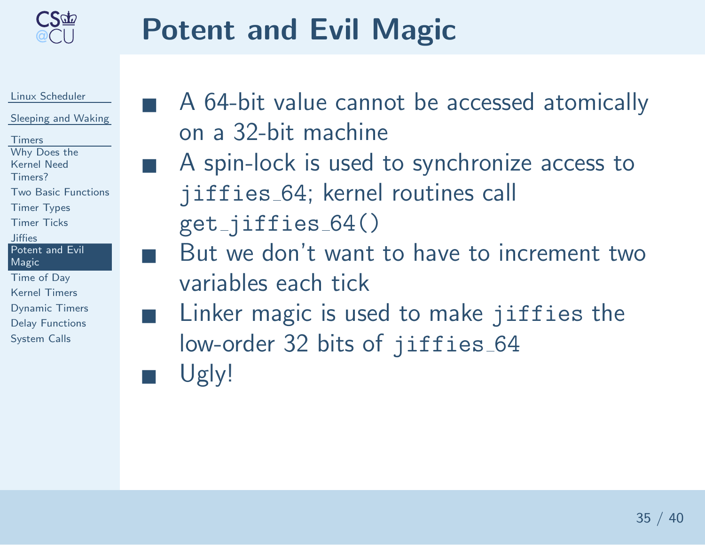<span id="page-34-0"></span>

## Potent and Evil Magic



- A 64-bit value cannot be accessed atomically on <sup>a</sup> 32-bit machine
- A spin-lock is used to synchronize access to jiffies <sup>64</sup>; kernel routines call
	- get\_jiffies\_64()
	- But we don't want to have to increment two variables each tick
- Linker magic is used to make jiffies the low-order 32 bits of jiffies\_64
- ■Ugly!

■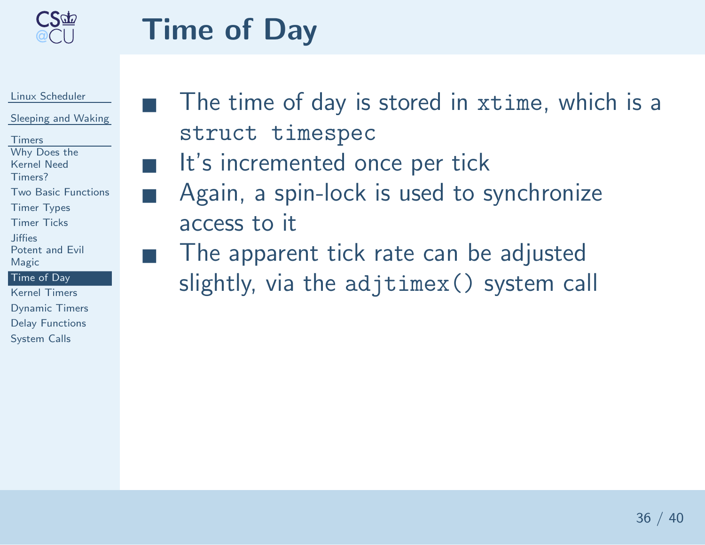<span id="page-35-0"></span>

### Time of Day

#### Linux [Scheduler](#page-0-0)

[Sleeping](#page-21-0) and Waking

■

■

- [Timers](#page-28-0)
- Why Does the
- Kernel Need[Timers?](#page-29-0)
- 
- Two Basic [Functions](#page-30-0)
- Timer [Types](#page-31-0)
- [Timer](#page-32-0) Ticks
- **[Jiffies](#page-33-0)**
- Potent and Evil [Magic](#page-34-0)
- [Time](#page-35-0) of Day
- Kernel [Timers](#page-36-0)[Dynamic](#page-37-0) TimersDelay [Functions](#page-38-0)[System](#page-39-0) Calls
- ■ The time of day is stored in xtime, which is <sup>a</sup> struct timespec
- It's incremented once per tick
	- Again, <sup>a</sup> spin-lock is used to synchronize access to it
	- The apparent tick rate can be adjusted slightly, via the adjtimex() system call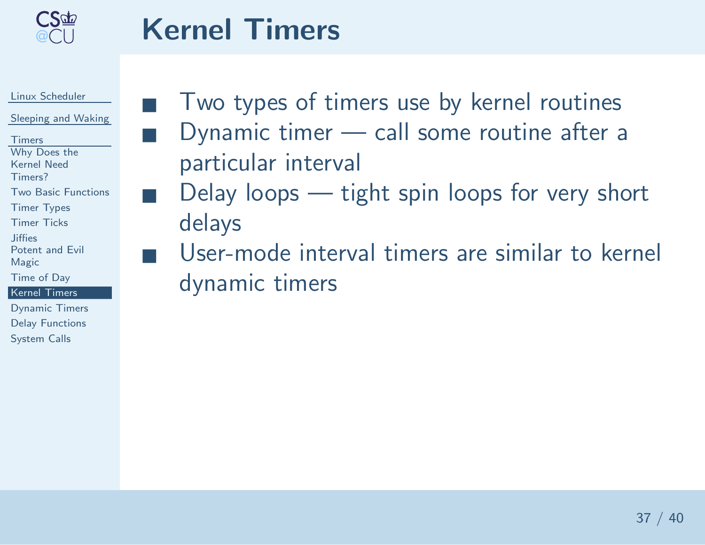<span id="page-36-0"></span>

#### Kernel Timers



■

■

■

[Timers](#page-28-0)

- Why Does theKernel Need
- [Timers?](#page-29-0)
- Two Basic [Functions](#page-30-0)
- Timer [Types](#page-31-0)
- [Timer](#page-32-0) Ticks
- **[Jiffies](#page-33-0)**
- Potent and Evil
- [Magic](#page-34-0)
- [Time](#page-35-0) of Day

#### Kernel [Timers](#page-36-0)

[Dynamic](#page-37-0) TimersDelay [Functions](#page-38-0)[System](#page-39-0) Calls

- Two types of timers use by kernel routines Dynamic timer — call some routine after <sup>a</sup> particular interval
- Delay loops tight spin loops for very short delays
- User-mode interval timers are similar to kernel dynamic timers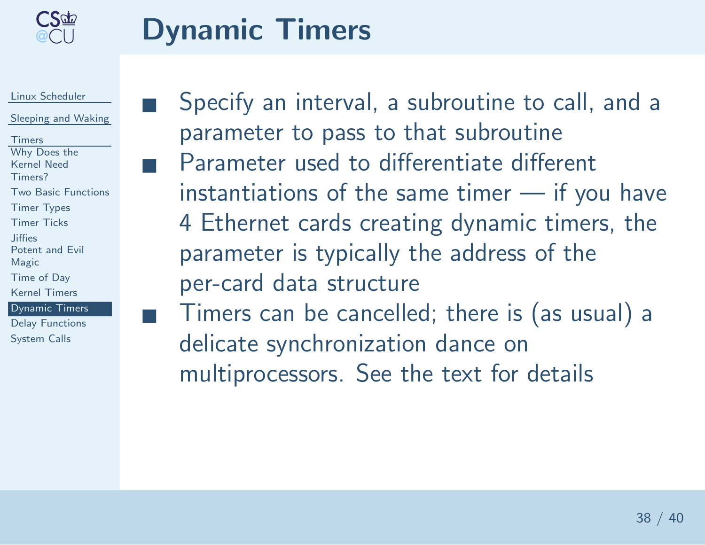<span id="page-37-0"></span>

### Dynamic Timers

Linux [Scheduler](#page-0-0)

[Sleeping](#page-21-0) and Waking

■

■

[Timers](#page-28-0) Why Does theKernel Need[Timers?](#page-29-0) Two Basic [Functions](#page-30-0)Timer [Types](#page-31-0)[Timer](#page-32-0) Ticks**[Jiffies](#page-33-0)** Potent and Evil

[Magic](#page-34-0)

[Time](#page-35-0) of Day

Kernel [Timers](#page-36-0)

[Dynamic](#page-37-0) Timers

Delay [Functions](#page-38-0)[System](#page-39-0) Calls

 Specify an interval, <sup>a</sup> subroutine to call, and <sup>a</sup> parameter to pass to that subroutine**Parameter used to differentiate different** instantiations of the same timer — if you have <sup>4</sup> Ethernet cards creating dynamic timers, theparameter is typically the address of theper-card data structure

 $\blacksquare$  Timers can be cancelled; there is (as usual) a ■delicate synchronization dance onmultiprocessors. See the text for details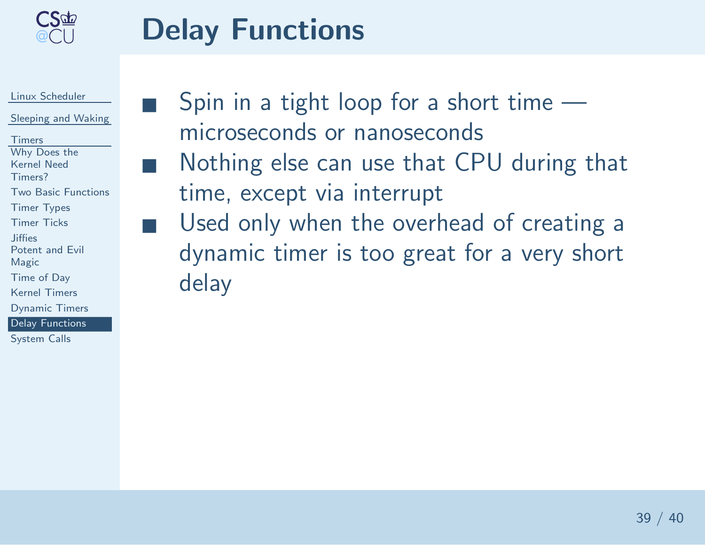<span id="page-38-0"></span>

■

■

delay

### Delay Functions



Delay [Functions](#page-38-0)

[System](#page-39-0) Calls

 Spin in <sup>a</sup> tight loop for <sup>a</sup> short time microseconds or nanoseconds Nothing else can use that CPU during that time, except via interrupt Used only when the overhead of creating <sup>a</sup> dynamic timer is too great for <sup>a</sup> very short